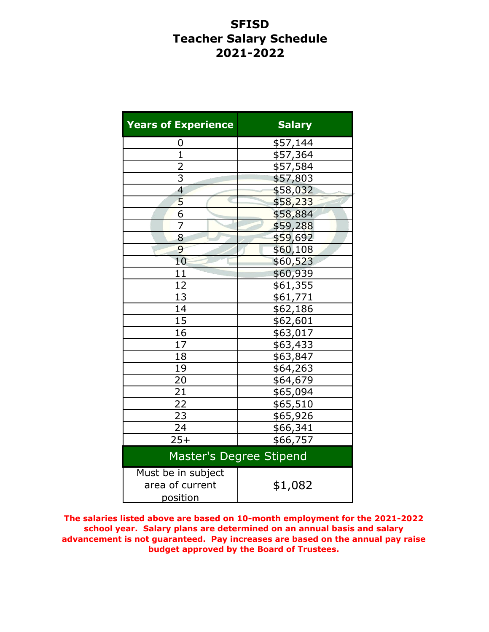# **SFISD Teacher Salary Schedule 2021-2022**

| <b>Years of Experience</b>                        | <b>Salary</b> |  |  |  |
|---------------------------------------------------|---------------|--|--|--|
| 0                                                 | \$57,144      |  |  |  |
| $\overline{1}$                                    | \$57,364      |  |  |  |
| $\overline{2}$                                    | \$57,584      |  |  |  |
| $\overline{3}$                                    | \$57,803      |  |  |  |
| 4                                                 | \$58,032      |  |  |  |
| 5                                                 | \$58,233      |  |  |  |
| $\overline{6}$                                    | \$58,884      |  |  |  |
| 7                                                 | \$59,288      |  |  |  |
| 8                                                 | \$59,692      |  |  |  |
| 9                                                 | \$60,108      |  |  |  |
| 10                                                | \$60,523      |  |  |  |
| 11                                                | \$60,939      |  |  |  |
| 12                                                | \$61,355      |  |  |  |
| 13                                                | \$61,771      |  |  |  |
| 14                                                | \$62,186      |  |  |  |
| 15                                                | \$62,601      |  |  |  |
| 16                                                | \$63,017      |  |  |  |
| $1\overline{7}$                                   | \$63,433      |  |  |  |
| 18                                                | \$63,847      |  |  |  |
| 19                                                | \$64,263      |  |  |  |
| 20                                                | \$64,679      |  |  |  |
| $\overline{21}$                                   | \$65,094      |  |  |  |
| $\overline{22}$                                   | \$65,510      |  |  |  |
| 23                                                | \$65,926      |  |  |  |
| 24                                                | \$66,341      |  |  |  |
| $25+$                                             | \$66,757      |  |  |  |
| Master's Degree Stipend                           |               |  |  |  |
| Must be in subject<br>area of current<br>position | \$1,082       |  |  |  |

**The salaries listed above are based on 10-month employment for the 2021-2022 school year. Salary plans are determined on an annual basis and salary advancement is not guaranteed. Pay increases are based on the annual pay raise budget approved by the Board of Trustees.**